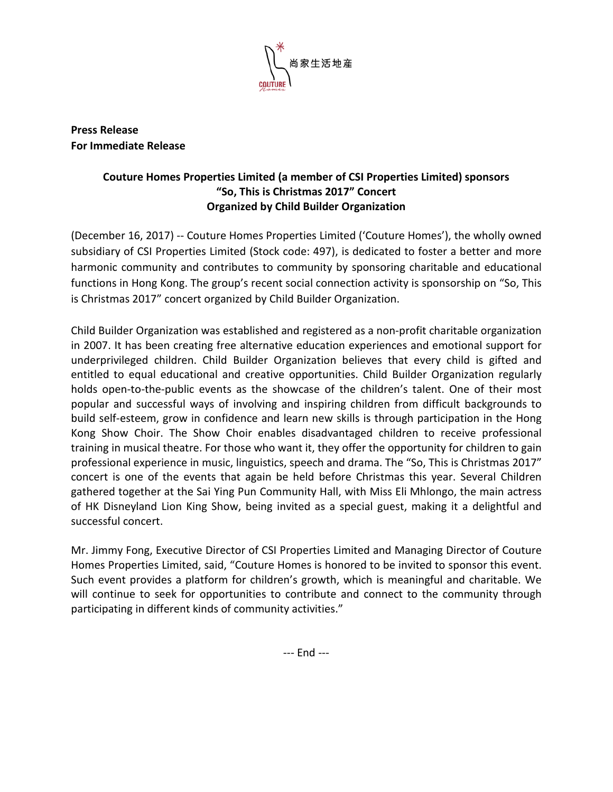

**Press Release For Immediate Release**

## **Couture Homes Properties Limited (a member of CSI Properties Limited) sponsors "So, This is Christmas 2017" Concert Organized by Child Builder Organization**

(December 16, 2017) -- Couture Homes Properties Limited ('Couture Homes'), the wholly owned subsidiary of CSI Properties Limited (Stock code: 497), is dedicated to foster a better and more harmonic community and contributes to community by sponsoring charitable and educational functions in Hong Kong. The group's recent social connection activity is sponsorship on "So, This is Christmas 2017" concert organized by Child Builder Organization.

Child Builder Organization was established and registered as a non-profit charitable organization in 2007. It has been creating free alternative education experiences and emotional support for underprivileged children. Child Builder Organization believes that every child is gifted and entitled to equal educational and creative opportunities. Child Builder Organization regularly holds open-to-the-public events as the showcase of the children's talent. One of their most popular and successful ways of involving and inspiring children from difficult backgrounds to build self-esteem, grow in confidence and learn new skills is through participation in the Hong Kong Show Choir. The Show Choir enables disadvantaged children to receive professional training in musical theatre. For those who want it, they offer the opportunity for children to gain professional experience in music, linguistics, speech and drama. The "So, This is Christmas 2017" concert is one of the events that again be held before Christmas this year. Several Children gathered together at the Sai Ying Pun Community Hall, with Miss Eli Mhlongo, the main actress of HK Disneyland Lion King Show, being invited as a special guest, making it a delightful and successful concert.

Mr. Jimmy Fong, Executive Director of CSI Properties Limited and Managing Director of Couture Homes Properties Limited, said, "Couture Homes is honored to be invited to sponsor this event. Such event provides a platform for children's growth, which is meaningful and charitable. We will continue to seek for opportunities to contribute and connect to the community through participating in different kinds of community activities."

--- End ---